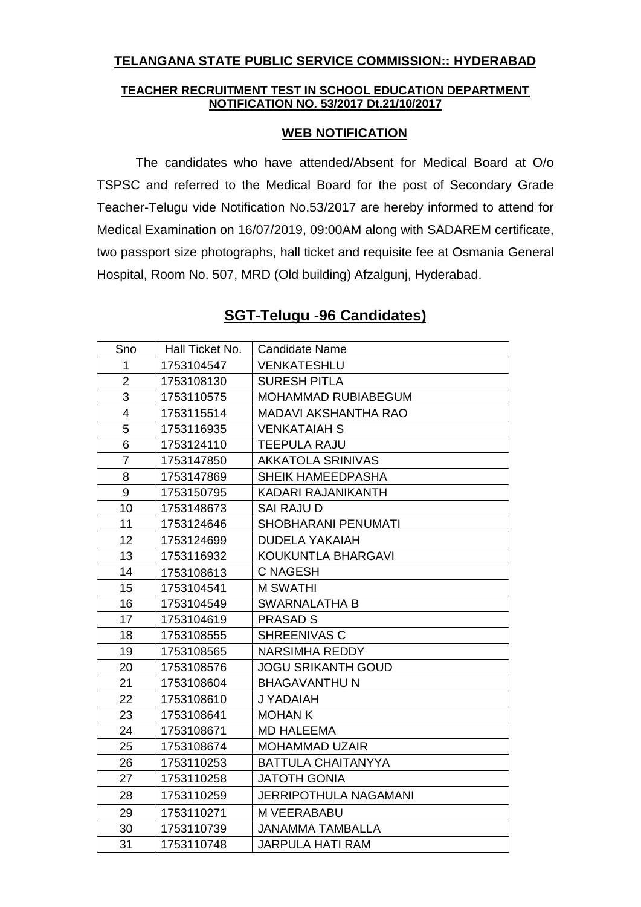## **TELANGANA STATE PUBLIC SERVICE COMMISSION:: HYDERABAD**

## **TEACHER RECRUITMENT TEST IN SCHOOL EDUCATION DEPARTMENT NOTIFICATION NO. 53/2017 Dt.21/10/2017**

## **WEB NOTIFICATION**

The candidates who have attended/Absent for Medical Board at O/o TSPSC and referred to the Medical Board for the post of Secondary Grade Teacher-Telugu vide Notification No.53/2017 are hereby informed to attend for Medical Examination on 16/07/2019, 09:00AM along with SADAREM certificate, two passport size photographs, hall ticket and requisite fee at Osmania General Hospital, Room No. 507, MRD (Old building) Afzalgunj, Hyderabad.

| Sno              | Hall Ticket No. | <b>Candidate Name</b>       |
|------------------|-----------------|-----------------------------|
| $\mathbf{1}$     | 1753104547      | <b>VENKATESHLU</b>          |
| $\overline{2}$   | 1753108130      | <b>SURESH PITLA</b>         |
| 3                | 1753110575      | MOHAMMAD RUBIABEGUM         |
| 4                | 1753115514      | <b>MADAVI AKSHANTHA RAO</b> |
| 5                | 1753116935      | <b>VENKATAIAH S</b>         |
| 6                | 1753124110      | <b>TEEPULA RAJU</b>         |
| $\overline{7}$   | 1753147850      | <b>AKKATOLA SRINIVAS</b>    |
| 8                | 1753147869      | SHEIK HAMEEDPASHA           |
| $\boldsymbol{9}$ | 1753150795      | KADARI RAJANIKANTH          |
| 10               | 1753148673      | <b>SAI RAJU D</b>           |
| 11               | 1753124646      | SHOBHARANI PENUMATI         |
| 12 <sup>2</sup>  | 1753124699      | <b>DUDELA YAKAIAH</b>       |
| 13               | 1753116932      | KOUKUNTLA BHARGAVI          |
| 14               | 1753108613      | <b>C NAGESH</b>             |
| 15               | 1753104541      | <b>M SWATHI</b>             |
| 16               | 1753104549      | <b>SWARNALATHA B</b>        |
| 17               | 1753104619      | <b>PRASAD S</b>             |
| 18               | 1753108555      | SHREENIVAS C                |
| 19               | 1753108565      | <b>NARSIMHA REDDY</b>       |
| 20               | 1753108576      | <b>JOGU SRIKANTH GOUD</b>   |
| 21               | 1753108604      | <b>BHAGAVANTHU N</b>        |
| 22               | 1753108610      | J YADAIAH                   |
| 23               | 1753108641      | <b>MOHAN K</b>              |
| 24               | 1753108671      | <b>MD HALEEMA</b>           |
| 25               | 1753108674      | <b>MOHAMMAD UZAIR</b>       |
| 26               | 1753110253      | <b>BATTULA CHAITANYYA</b>   |
| 27               | 1753110258      | <b>JATOTH GONIA</b>         |
| 28               | 1753110259      | JERRIPOTHULA NAGAMANI       |
| 29               | 1753110271      | M VEERABABU                 |
| 30               | 1753110739      | <b>JANAMMA TAMBALLA</b>     |
| 31               | 1753110748      | <b>JARPULA HATI RAM</b>     |

## **SGT-Telugu -96 Candidates)**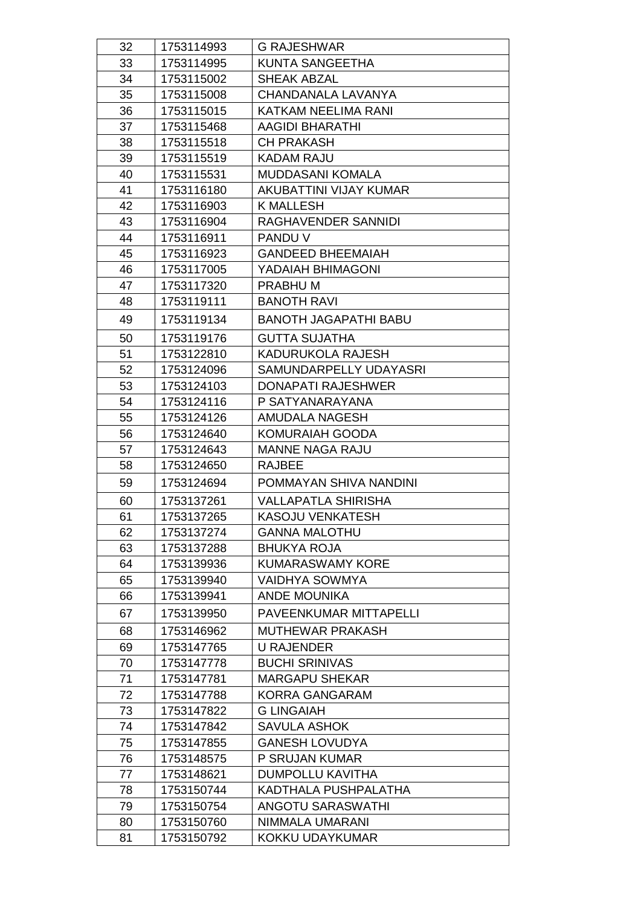| 32 | 1753114993 | <b>G RAJESHWAR</b>            |
|----|------------|-------------------------------|
| 33 | 1753114995 | <b>KUNTA SANGEETHA</b>        |
| 34 | 1753115002 | <b>SHEAK ABZAL</b>            |
| 35 | 1753115008 | CHANDANALA LAVANYA            |
| 36 | 1753115015 | KATKAM NEELIMA RANI           |
| 37 | 1753115468 | <b>AAGIDI BHARATHI</b>        |
| 38 | 1753115518 | <b>CH PRAKASH</b>             |
| 39 | 1753115519 | <b>KADAM RAJU</b>             |
| 40 | 1753115531 | <b>MUDDASANI KOMALA</b>       |
| 41 | 1753116180 | <b>AKUBATTINI VIJAY KUMAR</b> |
| 42 | 1753116903 | <b>K MALLESH</b>              |
| 43 | 1753116904 | RAGHAVENDER SANNIDI           |
| 44 | 1753116911 | PANDU V                       |
| 45 | 1753116923 | <b>GANDEED BHEEMAIAH</b>      |
| 46 | 1753117005 | YADAIAH BHIMAGONI             |
| 47 | 1753117320 | PRABHU M                      |
| 48 | 1753119111 | <b>BANOTH RAVI</b>            |
| 49 | 1753119134 | <b>BANOTH JAGAPATHI BABU</b>  |
| 50 | 1753119176 | <b>GUTTA SUJATHA</b>          |
| 51 | 1753122810 | KADURUKOLA RAJESH             |
| 52 | 1753124096 | SAMUNDARPELLY UDAYASRI        |
| 53 | 1753124103 | <b>DONAPATI RAJESHWER</b>     |
| 54 | 1753124116 | P SATYANARAYANA               |
| 55 | 1753124126 | AMUDALA NAGESH                |
| 56 | 1753124640 | KOMURAIAH GOODA               |
| 57 | 1753124643 | <b>MANNE NAGA RAJU</b>        |
| 58 | 1753124650 | <b>RAJBEE</b>                 |
| 59 | 1753124694 | POMMAYAN SHIVA NANDINI        |
| 60 | 1753137261 | <b>VALLAPATLA SHIRISHA</b>    |
| 61 | 1753137265 | <b>KASOJU VENKATESH</b>       |
| 62 | 1753137274 | <b>GANNA MALOTHU</b>          |
| 63 | 1753137288 | <b>BHUKYA ROJA</b>            |
| 64 | 1753139936 | <b>KUMARASWAMY KORE</b>       |
| 65 | 1753139940 | <b>VAIDHYA SOWMYA</b>         |
| 66 | 1753139941 | <b>ANDE MOUNIKA</b>           |
| 67 | 1753139950 | <b>PAVEENKUMAR MITTAPELLI</b> |
| 68 | 1753146962 | <b>MUTHEWAR PRAKASH</b>       |
| 69 | 1753147765 | <b>U RAJENDER</b>             |
| 70 | 1753147778 | <b>BUCHI SRINIVAS</b>         |
| 71 | 1753147781 | <b>MARGAPU SHEKAR</b>         |
| 72 | 1753147788 | KORRA GANGARAM                |
| 73 | 1753147822 | <b>G LINGAIAH</b>             |
| 74 | 1753147842 | SAVULA ASHOK                  |
| 75 | 1753147855 | <b>GANESH LOVUDYA</b>         |
| 76 | 1753148575 | P SRUJAN KUMAR                |
| 77 | 1753148621 | <b>DUMPOLLU KAVITHA</b>       |
| 78 | 1753150744 | KADTHALA PUSHPALATHA          |
| 79 | 1753150754 | <b>ANGOTU SARASWATHI</b>      |
| 80 | 1753150760 | NIMMALA UMARANI               |
| 81 | 1753150792 | KOKKU UDAYKUMAR               |